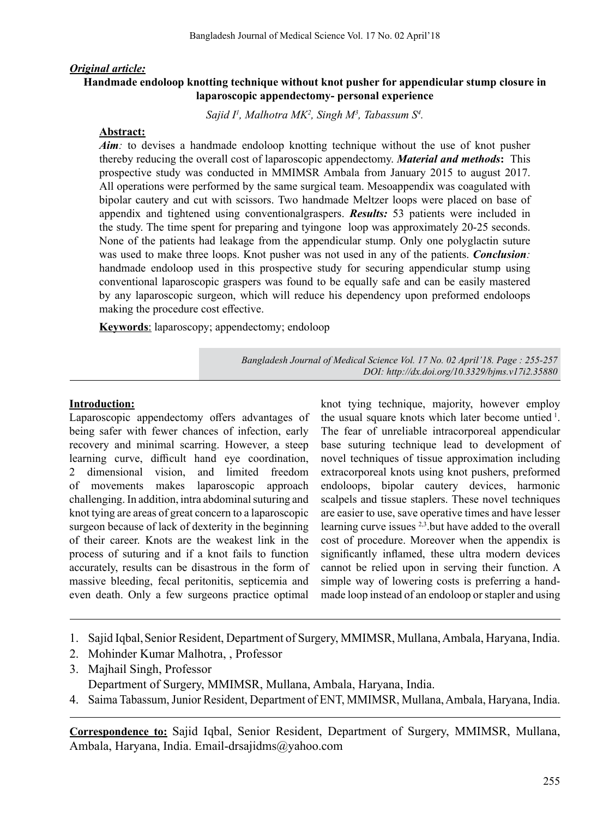### *Original article:*

### **Handmade endoloop knotting technique without knot pusher for appendicular stump closure in laparoscopic appendectomy- personal experience**

Sajid I<sup>1</sup>, Malhotra MK<sup>2</sup>, Singh M<sup>3</sup>, Tabassum S<sup>4</sup>.

#### **Abstract:**

*Aim*: to devises a handmade endoloop knotting technique without the use of knot pusher thereby reducing the overall cost of laparoscopic appendectomy. *Material and methods***:** This prospective study was conducted in MMIMSR Ambala from January 2015 to august 2017. All operations were performed by the same surgical team. Mesoappendix was coagulated with bipolar cautery and cut with scissors. Two handmade Meltzer loops were placed on base of appendix and tightened using conventionalgraspers. *Results:* 53 patients were included in the study. The time spent for preparing and tyingone loop was approximately 20-25 seconds. None of the patients had leakage from the appendicular stump. Only one polyglactin suture was used to make three loops. Knot pusher was not used in any of the patients. *Conclusion:* handmade endoloop used in this prospective study for securing appendicular stump using conventional laparoscopic graspers was found to be equally safe and can be easily mastered by any laparoscopic surgeon, which will reduce his dependency upon preformed endoloops making the procedure cost effective.

**Keywords**: laparoscopy; appendectomy; endoloop

*Bangladesh Journal of Medical Science Vol. 17 No. 02 April'18. Page : 255-257 DOI: http://dx.doi.org/10.3329/bjms.v17i2.35880* 

#### **Introduction:**

Laparoscopic appendectomy offers advantages of being safer with fewer chances of infection, early recovery and minimal scarring. However, a steep learning curve, difficult hand eye coordination, 2 dimensional vision, and limited freedom of movements makes laparoscopic approach challenging. In addition, intra abdominal suturing and knot tying are areas of great concern to a laparoscopic surgeon because of lack of dexterity in the beginning of their career. Knots are the weakest link in the process of suturing and if a knot fails to function accurately, results can be disastrous in the form of massive bleeding, fecal peritonitis, septicemia and even death. Only a few surgeons practice optimal

knot tying technique, majority, however employ the usual square knots which later become untied<sup>1</sup>. The fear of unreliable intracorporeal appendicular base suturing technique lead to development of novel techniques of tissue approximation including extracorporeal knots using knot pushers, preformed endoloops, bipolar cautery devices, harmonic scalpels and tissue staplers. These novel techniques are easier to use, save operative times and have lesser learning curve issues 2,3.but have added to the overall cost of procedure. Moreover when the appendix is significantly inflamed, these ultra modern devices cannot be relied upon in serving their function. A simple way of lowering costs is preferring a handmade loop instead of an endoloop or stapler and using

- 1. Sajid Iqbal, Senior Resident, Department of Surgery, MMIMSR, Mullana, Ambala, Haryana, India.
- 2. Mohinder Kumar Malhotra, , Professor
- 3. Majhail Singh, Professor

Department of Surgery, MMIMSR, Mullana, Ambala, Haryana, India.

4. Saima Tabassum, Junior Resident, Department of ENT, MMIMSR, Mullana, Ambala, Haryana, India.

**Correspondence to:** Sajid Iqbal, Senior Resident, Department of Surgery, MMIMSR, Mullana, Ambala, Haryana, India. Email-drsajidms@yahoo.com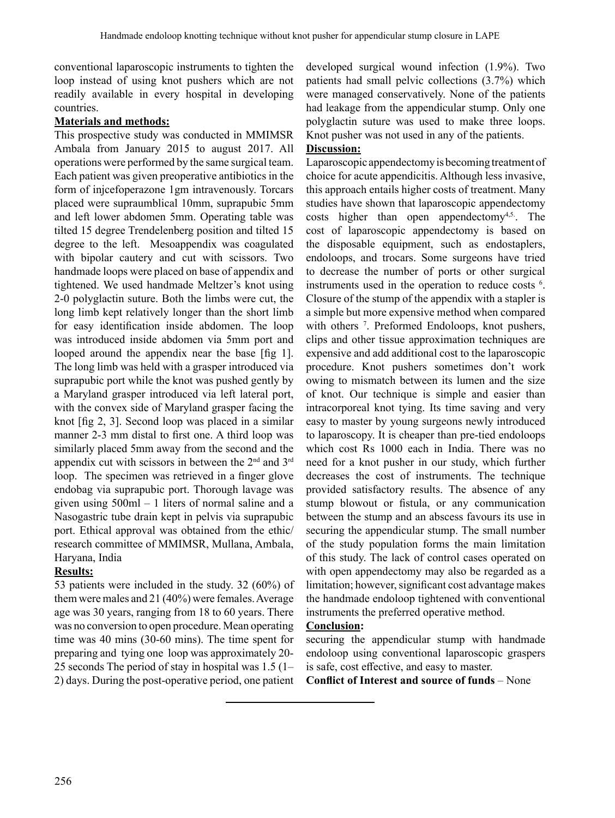conventional laparoscopic instruments to tighten the loop instead of using knot pushers which are not readily available in every hospital in developing countries.

### **Materials and methods:**

This prospective study was conducted in MMIMSR Ambala from January 2015 to august 2017. All operations were performed by the same surgical team. Each patient was given preoperative antibiotics in the form of injcefoperazone 1gm intravenously. Torcars placed were supraumblical 10mm, suprapubic 5mm and left lower abdomen 5mm. Operating table was tilted 15 degree Trendelenberg position and tilted 15 degree to the left. Mesoappendix was coagulated with bipolar cautery and cut with scissors. Two handmade loops were placed on base of appendix and tightened. We used handmade Meltzer's knot using 2-0 polyglactin suture. Both the limbs were cut, the long limb kept relatively longer than the short limb for easy identification inside abdomen. The loop was introduced inside abdomen via 5mm port and looped around the appendix near the base [fig 1]. The long limb was held with a grasper introduced via suprapubic port while the knot was pushed gently by a Maryland grasper introduced via left lateral port, with the convex side of Maryland grasper facing the knot [fig 2, 3]. Second loop was placed in a similar manner 2-3 mm distal to first one. A third loop was similarly placed 5mm away from the second and the appendix cut with scissors in between the 2<sup>nd</sup> and 3<sup>rd</sup> loop. The specimen was retrieved in a finger glove endobag via suprapubic port. Thorough lavage was given using 500ml – 1 liters of normal saline and a Nasogastric tube drain kept in pelvis via suprapubic port. Ethical approval was obtained from the ethic/ research committee of MMIMSR, Mullana, Ambala, Haryana, India

## **Results:**

53 patients were included in the study. 32 (60%) of them were males and 21 (40%) were females.Average age was 30 years, ranging from 18 to 60 years. There was no conversion to open procedure. Mean operating time was 40 mins (30-60 mins). The time spent for preparing and tying one loop was approximately 20- 25 seconds The period of stay in hospital was 1.5 (1– 2) days. During the post-operative period, one patient developed surgical wound infection (1.9%). Two patients had small pelvic collections (3.7%) which were managed conservatively. None of the patients had leakage from the appendicular stump. Only one polyglactin suture was used to make three loops. Knot pusher was not used in any of the patients.

# **Discussion:**

Laparoscopic appendectomy is becoming treatment of choice for acute appendicitis. Although less invasive, this approach entails higher costs of treatment. Many studies have shown that laparoscopic appendectomy costs higher than open appendectomy<sup>4,5</sup>. The cost of laparoscopic appendectomy is based on the disposable equipment, such as endostaplers, endoloops, and trocars. Some surgeons have tried to decrease the number of ports or other surgical instruments used in the operation to reduce costs <sup>6</sup> . Closure of the stump of the appendix with a stapler is a simple but more expensive method when compared with others <sup>7</sup>. Preformed Endoloops, knot pushers, clips and other tissue approximation techniques are expensive and add additional cost to the laparoscopic procedure. Knot pushers sometimes don't work owing to mismatch between its lumen and the size of knot. Our technique is simple and easier than intracorporeal knot tying. Its time saving and very easy to master by young surgeons newly introduced to laparoscopy. It is cheaper than pre-tied endoloops which cost Rs 1000 each in India. There was no need for a knot pusher in our study, which further decreases the cost of instruments. The technique provided satisfactory results. The absence of any stump blowout or fistula, or any communication between the stump and an abscess favours its use in securing the appendicular stump. The small number of the study population forms the main limitation of this study. The lack of control cases operated on with open appendectomy may also be regarded as a limitation; however, significant cost advantage makes the handmade endoloop tightened with conventional instruments the preferred operative method.

## **Conclusion:**

securing the appendicular stump with handmade endoloop using conventional laparoscopic graspers is safe, cost effective, and easy to master.

**Conflict of Interest and source of funds** – None